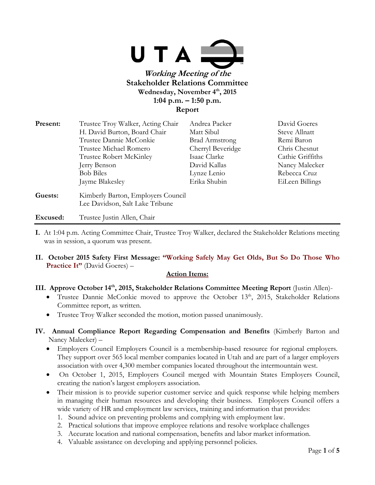

# **Wednesday, November 4th, 2015 1:04 p.m. – 1:50 p.m. Report**

| Present: | Trustee Troy Walker, Acting Chair                                     | Andrea Packer         | David Goeres     |
|----------|-----------------------------------------------------------------------|-----------------------|------------------|
|          | H. David Burton, Board Chair                                          | Matt Sibul            | Steve Allnatt    |
|          | Trustee Dannie McConkie                                               | <b>Brad Armstrong</b> | Remi Baron       |
|          | Trustee Michael Romero                                                | Cherryl Beveridge     | Chris Chesnut    |
|          | Trustee Robert McKinley                                               | Isaac Clarke          | Cathie Griffiths |
|          | Jerry Benson                                                          | David Kallas          | Nancy Malecker   |
|          | <b>Bob Biles</b>                                                      | Lynze Lenio           | Rebecca Cruz     |
|          | Jayme Blakesley                                                       | Erika Shubin          | EiLeen Billings  |
| Guests:  | Kimberly Barton, Employers Council<br>Lee Davidson, Salt Lake Tribune |                       |                  |
|          |                                                                       |                       |                  |

## **Excused:** Trustee Justin Allen, Chair

- **I.** At 1:04 p.m. Acting Committee Chair, Trustee Troy Walker, declared the Stakeholder Relations meeting was in session, a quorum was present.
- **II. October 2015 Safety First Message: "Working Safely May Get Olds, But So Do Those Who Practice It"** (David Goeres) –

#### **Action Items:**

- **III. Approve October 14th, 2015, Stakeholder Relations Committee Meeting Report** (Justin Allen)-
	- Trustee Dannie McConkie moved to approve the October  $13<sup>th</sup>$ , 2015, Stakeholder Relations Committee report, as written.
	- Trustee Troy Walker seconded the motion, motion passed unanimously.
- **IV. Annual Compliance Report Regarding Compensation and Benefits** (Kimberly Barton and Nancy Malecker) –
	- Employers Council Employers Council is a membership-based resource for regional employers. They support over 565 local member companies located in Utah and are part of a larger employers association with over 4,300 member companies located throughout the intermountain west.
	- On October 1, 2015, Employers Council merged with Mountain States Employers Council, creating the nation's largest employers association.
	- Their mission is to provide superior customer service and quick response while helping members in managing their human resources and developing their business. Employers Council offers a wide variety of HR and employment law services, training and information that provides:
		- 1. Sound advice on preventing problems and complying with employment law.
		- 2. Practical solutions that improve employee relations and resolve workplace challenges
		- 3. Accurate location and national compensation, benefits and labor market information.
		- 4. Valuable assistance on developing and applying personnel policies.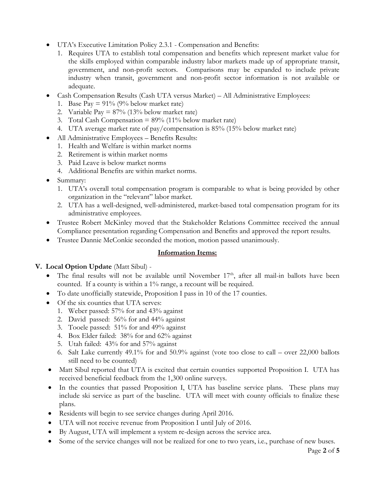- UTA's Executive Limitation Policy 2.3.1 Compensation and Benefits:
	- 1. Requires UTA to establish total compensation and benefits which represent market value for the skills employed within comparable industry labor markets made up of appropriate transit, government, and non-profit sectors. Comparisons may be expanded to include private industry when transit, government and non-profit sector information is not available or adequate.
- Cash Compensation Results (Cash UTA versus Market) All Administrative Employees:
	- 1. Base Pay =  $91\%$  (9% below market rate)
	- 2. Variable Pay  $= 87\%$  (13% below market rate)
	- 3. Total Cash Compensation =  $89\%$  (11% below market rate)
	- 4. UTA average market rate of pay/compensation is 85% (15% below market rate)
- All Administrative Employees Benefits Results:
	- 1. Health and Welfare is within market norms
	- 2. Retirement is within market norms
	- 3. Paid Leave is below market norms
	- 4. Additional Benefits are within market norms.
- Summary:
	- 1. UTA's overall total compensation program is comparable to what is being provided by other organization in the "relevant" labor market.
	- 2. UTA has a well-designed, well-administered, market-based total compensation program for its administrative employees.
- Trustee Robert McKinley moved that the Stakeholder Relations Committee received the annual Compliance presentation regarding Compensation and Benefits and approved the report results.
- Trustee Dannie McConkie seconded the motion, motion passed unanimously.

#### **Information Items:**

#### **V. Local Option Update** (Matt Sibul) -

- The final results will not be available until November  $17<sup>th</sup>$ , after all mail-in ballots have been counted. If a county is within a 1% range, a recount will be required.
- To date unofficially statewide, Proposition I pass in 10 of the 17 counties.
- Of the six counties that UTA serves:
	- 1. Weber passed: 57% for and 43% against
	- 2. David passed: 56% for and 44% against
	- 3. Tooele passed: 51% for and 49% against
	- 4. Box Elder failed: 38% for and 62% against
	- 5. Utah failed: 43% for and 57% against
	- 6. Salt Lake currently 49.1% for and 50.9% against (vote too close to call over 22,000 ballots still need to be counted)
- Matt Sibul reported that UTA is excited that certain counties supported Proposition I. UTA has received beneficial feedback from the 1,300 online surveys.
- In the counties that passed Proposition I, UTA has baseline service plans. These plans may include ski service as part of the baseline. UTA will meet with county officials to finalize these plans.
- Residents will begin to see service changes during April 2016.
- UTA will not receive revenue from Proposition I until July of 2016.
- By August, UTA will implement a system re-design across the service area.
- Some of the service changes will not be realized for one to two years, i.e., purchase of new buses.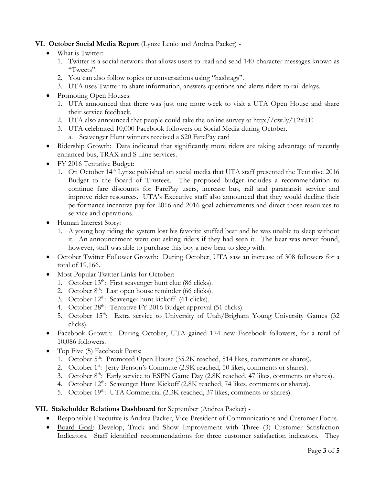# **VI. October Social Media Report** (Lynze Lenio and Andrea Packer) -

- What is Twitter:
	- 1. Twitter is a social network that allows users to read and send 140-character messages known as "Tweets".
	- 2. You can also follow topics or conversations using "hashtags".
	- 3. UTA uses Twitter to share information, answers questions and alerts riders to rail delays.
- Promoting Open Houses:
	- 1. UTA announced that there was just one more week to visit a UTA Open House and share their service feedback.
	- 2. UTA also announced that people could take the online survey at http://ow.ly/T2xTE
	- 3. UTA celebrated 10,000 Facebook followers on Social Media during October.
		- a. Scavenger Hunt winners received a \$20 FarePay card
- Ridership Growth: Data indicated that significantly more riders are taking advantage of recently enhanced bus, TRAX and S-Line services.
- FY 2016 Tentative Budget:
	- 1. On October 14<sup>th</sup> Lynze published on social media that UTA staff presented the Tentative 2016 Budget to the Board of Trustees. The proposed budget includes a recommendation to continue fare discounts for FarePay users, increase bus, rail and paratransit service and improve rider resources. UTA's Executive staff also announced that they would decline their performance incentive pay for 2016 and 2016 goal achievements and direct those resources to service and operations.
- Human Interest Story:
	- 1. A young boy riding the system lost his favorite stuffed bear and he was unable to sleep without it. An announcement went out asking riders if they had seen it. The bear was never found, however, staff was able to purchase this boy a new bear to sleep with.
- October Twitter Follower Growth: During October, UTA saw an increase of 308 followers for a total of 19,166.
- Most Popular Twitter Links for October:
	- 1. October  $13<sup>th</sup>$ : First scavenger hunt clue (86 clicks).
	- 2. October  $8<sup>th</sup>$ : Last open house reminder (66 clicks).
	- 3. October  $12^{th}$ : Scavenger hunt kickoff (61 clicks).
	- 4. October 28<sup>th</sup>: Tentative FY 2016 Budget approval (51 clicks).-
	- 5. October  $15<sup>th</sup>$ : Extra service to University of Utah/Brigham Young University Games (32) clicks).
- Facebook Growth: During October, UTA gained 174 new Facebook followers, for a total of 10,086 followers.
- Top Five (5) Facebook Posts:
	- 1. October 5<sup>th</sup>: Promoted Open House (35.2K reached, 514 likes, comments or shares).
	- 2. October 1<sup>st</sup>: Jerry Benson's Commute (2.9K reached, 50 likes, comments or shares).
	- 3. October 8<sup>th</sup>: Early service to ESPN Game Day (2.8K reached, 47 likes, comments or shares).
	- 4. October 12<sup>th</sup>: Scavenger Hunt Kickoff (2.8K reached, 74 likes, comments or shares).
	- 5. October 19<sup>th</sup>: UTA Commercial (2.3K reached, 37 likes, comments or shares).

#### **VII. Stakeholder Relations Dashboard** for September (Andrea Packer) -

- Responsible Executive is Andrea Packer, Vice-President of Communications and Customer Focus.
- Board Goal: Develop, Track and Show Improvement with Three (3) Customer Satisfaction Indicators. Staff identified recommendations for three customer satisfaction indicators. They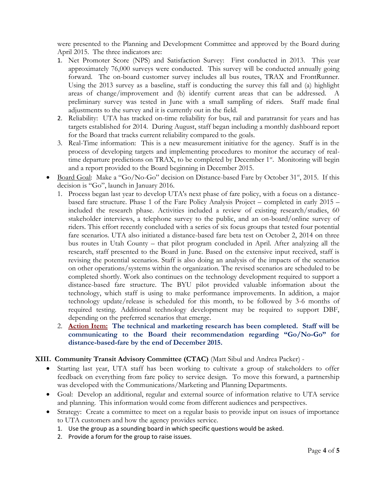were presented to the Planning and Development Committee and approved by the Board during April 2015. The three indicators are:

- 1. Net Promoter Score (NPS) and Satisfaction Survey: First conducted in 2013. This year approximately 76,000 surveys were conducted. This survey will be conducted annually going forward. The on-board customer survey includes all bus routes, TRAX and FrontRunner. Using the 2013 survey as a baseline, staff is conducting the survey this fall and (a) highlight areas of change/improvement and (b) identify current areas that can be addressed. A preliminary survey was tested in June with a small sampling of riders. Staff made final adjustments to the survey and it is currently out in the field.
- 2. Reliability: UTA has tracked on-time reliability for bus, rail and paratransit for years and has targets established for 2014. During August, staff began including a monthly dashboard report for the Board that tracks current reliability compared to the goals.
- 3. Real-Time information: This is a new measurement initiative for the agency. Staff is in the process of developing targets and implementing procedures to monitor the accuracy of realtime departure predictions on TRAX, to be completed by December  $1<sup>st</sup>$ . Monitoring will begin and a report provided to the Board beginning in December 2015.
- $\bullet$  Board Goal: Make a "Go/No-Go" decision on Distance-based Fare by October 31<sup>st</sup>, 2015. If this decision is "Go", launch in January 2016.
	- 1. Process began last year to develop UTA's next phase of fare policy, with a focus on a distancebased fare structure. Phase 1 of the Fare Policy Analysis Project – completed in early 2015 – included the research phase. Activities included a review of existing research/studies, 60 stakeholder interviews, a telephone survey to the public, and an on-board/online survey of riders. This effort recently concluded with a series of six focus groups that tested four potential fare scenarios. UTA also initiated a distance-based fare beta test on October 2, 2014 on three bus routes in Utah County – that pilot program concluded in April. After analyzing all the research, staff presented to the Board in June. Based on the extensive input received, staff is revising the potential scenarios. Staff is also doing an analysis of the impacts of the scenarios on other operations/systems within the organization. The revised scenarios are scheduled to be completed shortly. Work also continues on the technology development required to support a distance-based fare structure. The BYU pilot provided valuable information about the technology, which staff is using to make performance improvements. In addition, a major technology update/release is scheduled for this month, to be followed by 3-6 months of required testing. Additional technology development may be required to support DBF, depending on the preferred scenarios that emerge.
	- 2. **Action Item: The technical and marketing research has been completed. Staff will be communicating to the Board their recommendation regarding "Go/No-Go" for distance-based-fare by the end of December 2015.**

#### **XIII. Community Transit Advisory Committee (CTAC)** (Matt Sibul and Andrea Packer) -

- Starting last year, UTA staff has been working to cultivate a group of stakeholders to offer feedback on everything from fare policy to service design. To move this forward, a partnership was developed with the Communications/Marketing and Planning Departments.
- Goal: Develop an additional, regular and external source of information relative to UTA service and planning. This information would come from different audiences and perspectives.
- Strategy: Create a committee to meet on a regular basis to provide input on issues of importance to UTA customers and how the agency provides service.
	- 1. Use the group as a sounding board in which specific questions would be asked.
	- 2. Provide a forum for the group to raise issues.